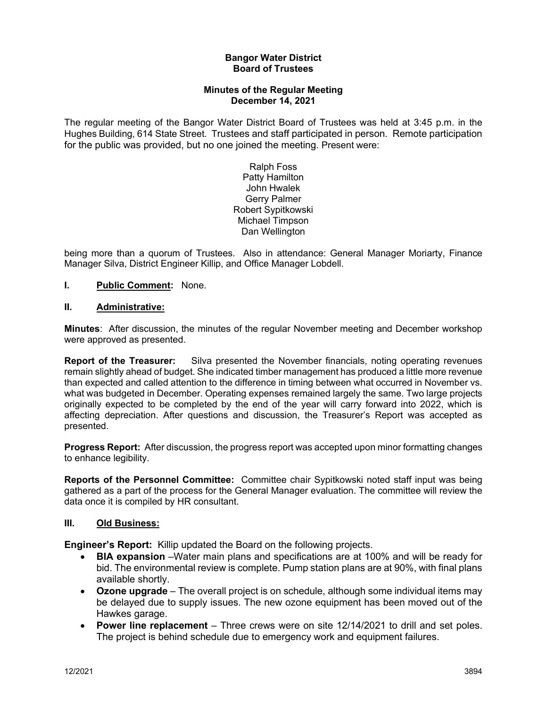#### **Bangor Water District Board of Trustees**

### **Minutes of the Regular Meeting December 14, 2021**

The regular meeting of the Bangor Water District Board of Trustees was held at 3:45 p.m. in the Hughes Building, 614 State Street. Trustees and staff participated in person. Remote participation for the public was provided, but no one joined the meeting. Present were:

> Ralph Foss Patty Hamilton John Hwalek Gerry Palmer Robert Sypitkowski Michael Timpson Dan Wellington

being more than a quorum of Trustees. Also in attendance: General Manager Moriarty, Finance Manager Silva, District Engineer Killip, and Office Manager Lobdell.

## **I. Public Comment:** None.

#### **II. Administrative:**

**Minutes**: After discussion, the minutes of the regular November meeting and December workshop were approved as presented.

**Report of the Treasurer:** Silva presented the November financials, noting operating revenues remain slightly ahead of budget. She indicated timber management has produced a little more revenue than expected and called attention to the difference in timing between what occurred in November vs. what was budgeted in December. Operating expenses remained largely the same. Two large projects originally expected to be completed by the end of the year will carry forward into 2022, which is affecting depreciation. After questions and discussion, the Treasurer's Report was accepted as presented.

**Progress Report:** After discussion, the progress report was accepted upon minor formatting changes to enhance legibility.

**Reports of the Personnel Committee:** Committee chair Sypitkowski noted staff input was being gathered as a part of the process for the General Manager evaluation. The committee will review the data once it is compiled by HR consultant.

#### **III. Old Business:**

**Engineer's Report:** Killip updated the Board on the following projects.

- **BIA expansion** –Water main plans and specifications are at 100% and will be ready for bid. The environmental review is complete. Pump station plans are at 90%, with final plans available shortly.
- **Ozone upgrade** The overall project is on schedule, although some individual items may be delayed due to supply issues. The new ozone equipment has been moved out of the Hawkes garage.
- **Power line replacement** Three crews were on site 12/14/2021 to drill and set poles. The project is behind schedule due to emergency work and equipment failures.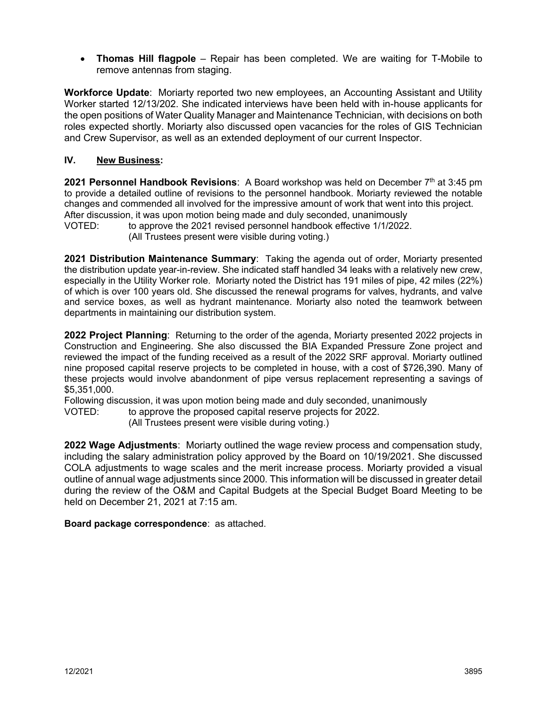• **Thomas Hill flagpole** – Repair has been completed. We are waiting for T-Mobile to remove antennas from staging.

**Workforce Update**: Moriarty reported two new employees, an Accounting Assistant and Utility Worker started 12/13/202. She indicated interviews have been held with in-house applicants for the open positions of Water Quality Manager and Maintenance Technician, with decisions on both roles expected shortly. Moriarty also discussed open vacancies for the roles of GIS Technician and Crew Supervisor, as well as an extended deployment of our current Inspector.

# **IV. New Business:**

**2021 Personnel Handbook Revisions**: A Board workshop was held on December 7<sup>th</sup> at 3:45 pm to provide a detailed outline of revisions to the personnel handbook. Moriarty reviewed the notable changes and commended all involved for the impressive amount of work that went into this project. After discussion, it was upon motion being made and duly seconded, unanimously

VOTED: to approve the 2021 revised personnel handbook effective 1/1/2022. (All Trustees present were visible during voting.)

**2021 Distribution Maintenance Summary**: Taking the agenda out of order, Moriarty presented the distribution update year-in-review. She indicated staff handled 34 leaks with a relatively new crew, especially in the Utility Worker role. Moriarty noted the District has 191 miles of pipe, 42 miles (22%) of which is over 100 years old. She discussed the renewal programs for valves, hydrants, and valve and service boxes, as well as hydrant maintenance. Moriarty also noted the teamwork between departments in maintaining our distribution system.

**2022 Project Planning**: Returning to the order of the agenda, Moriarty presented 2022 projects in Construction and Engineering. She also discussed the BIA Expanded Pressure Zone project and reviewed the impact of the funding received as a result of the 2022 SRF approval. Moriarty outlined nine proposed capital reserve projects to be completed in house, with a cost of \$726,390. Many of these projects would involve abandonment of pipe versus replacement representing a savings of \$5,351,000.

Following discussion, it was upon motion being made and duly seconded, unanimously

VOTED: to approve the proposed capital reserve projects for 2022.

(All Trustees present were visible during voting.)

**2022 Wage Adjustments**: Moriarty outlined the wage review process and compensation study, including the salary administration policy approved by the Board on 10/19/2021. She discussed COLA adjustments to wage scales and the merit increase process. Moriarty provided a visual outline of annual wage adjustments since 2000. This information will be discussed in greater detail during the review of the O&M and Capital Budgets at the Special Budget Board Meeting to be held on December 21, 2021 at 7:15 am.

#### **Board package correspondence**: as attached.